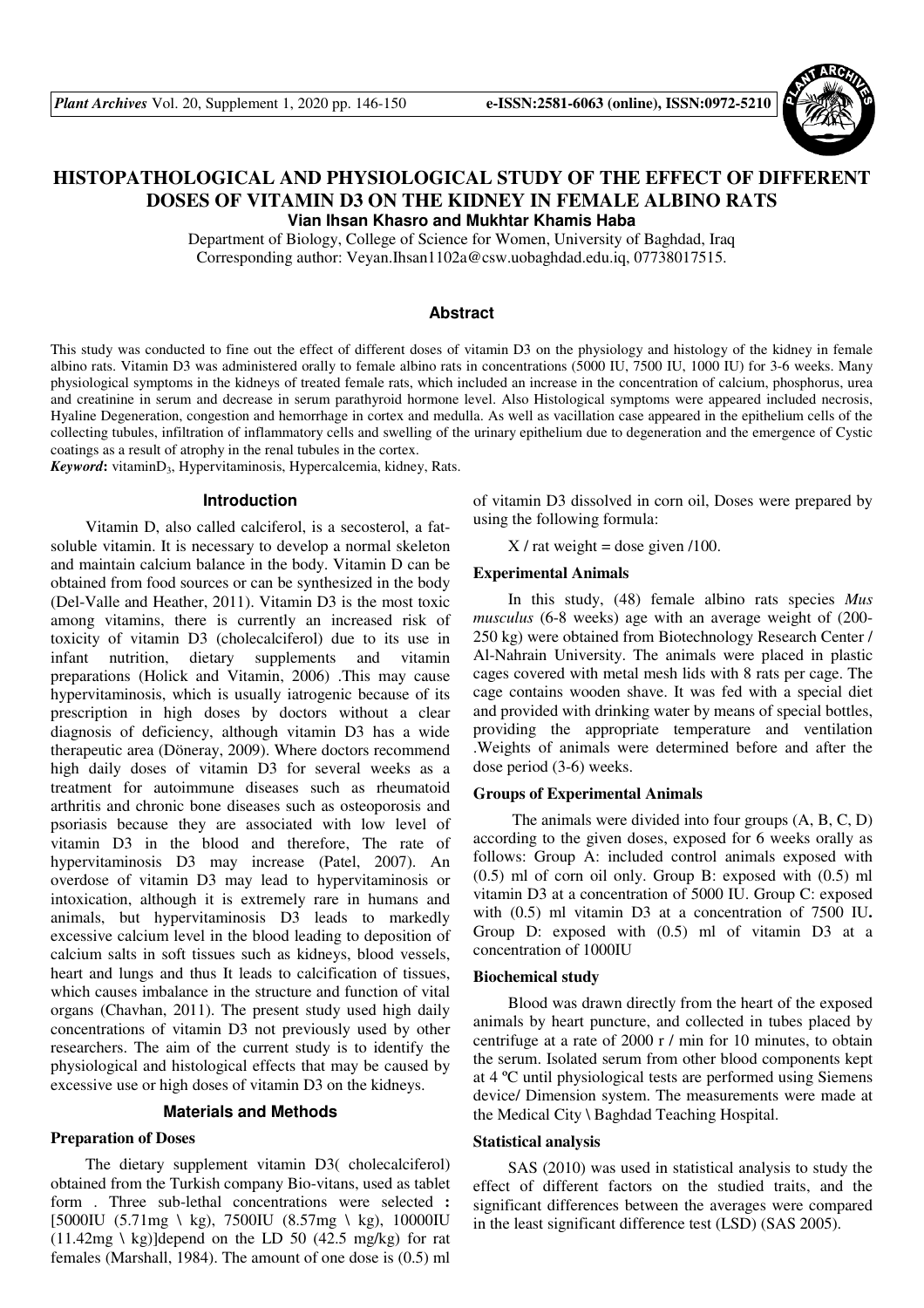

# **HISTOPATHOLOGICAL AND PHYSIOLOGICAL STUDY OF THE EFFECT OF DIFFERENT DOSES OF VITAMIN D3 ON THE KIDNEY IN FEMALE ALBINO RATS Vian Ihsan Khasro and Mukhtar Khamis Haba**

Department of Biology, College of Science for Women, University of Baghdad, Iraq Corresponding author: Veyan.Ihsan1102a@csw.uobaghdad.edu.iq, 07738017515.

#### **Abstract**

This study was conducted to fine out the effect of different doses of vitamin D3 on the physiology and histology of the kidney in female albino rats. Vitamin D3 was administered orally to female albino rats in concentrations (5000 IU, 7500 IU, 1000 IU) for 3-6 weeks. Many physiological symptoms in the kidneys of treated female rats, which included an increase in the concentration of calcium, phosphorus, urea and creatinine in serum and decrease in serum parathyroid hormone level. Also Histological symptoms were appeared included necrosis, Hyaline Degeneration, congestion and hemorrhage in cortex and medulla. As well as vacillation case appeared in the epithelium cells of the collecting tubules, infiltration of inflammatory cells and swelling of the urinary epithelium due to degeneration and the emergence of Cystic coatings as a result of atrophy in the renal tubules in the cortex.

Keyword: vitaminD<sub>3</sub>, Hypervitaminosis, Hypercalcemia, kidney, Rats.

### **Introduction**

Vitamin D, also called calciferol, is a secosterol, a fatsoluble vitamin. It is necessary to develop a normal skeleton and maintain calcium balance in the body. Vitamin D can be obtained from food sources or can be synthesized in the body (Del-Valle and Heather, 2011). Vitamin D3 is the most toxic among vitamins, there is currently an increased risk of toxicity of vitamin D3 (cholecalciferol) due to its use in infant nutrition, dietary supplements and vitamin preparations (Holick and Vitamin, 2006) .This may cause hypervitaminosis, which is usually iatrogenic because of its prescription in high doses by doctors without a clear diagnosis of deficiency, although vitamin D3 has a wide therapeutic area (Döneray, 2009). Where doctors recommend high daily doses of vitamin D3 for several weeks as a treatment for autoimmune diseases such as rheumatoid arthritis and chronic bone diseases such as osteoporosis and psoriasis because they are associated with low level of vitamin D3 in the blood and therefore, The rate of hypervitaminosis D3 may increase (Patel, 2007). An overdose of vitamin D3 may lead to hypervitaminosis or intoxication, although it is extremely rare in humans and animals, but hypervitaminosis D3 leads to markedly excessive calcium level in the blood leading to deposition of calcium salts in soft tissues such as kidneys, blood vessels, heart and lungs and thus It leads to calcification of tissues, which causes imbalance in the structure and function of vital organs (Chavhan, 2011). The present study used high daily concentrations of vitamin D3 not previously used by other researchers. The aim of the current study is to identify the physiological and histological effects that may be caused by excessive use or high doses of vitamin D3 on the kidneys.

#### **Materials and Methods**

#### **Preparation of Doses**

The dietary supplement vitamin D3( cholecalciferol) obtained from the Turkish company Bio-vitans, used as tablet form . Three sub-lethal concentrations were selected : [5000IU (5.71mg \ kg), 7500IU (8.57mg \ kg), 10000IU  $(11.42mg \, \text{kg})$ ]depend on the LD 50 (42.5 mg/kg) for rat females (Marshall, 1984). The amount of one dose is (0.5) ml

of vitamin D3 dissolved in corn oil, Doses were prepared by using the following formula:

 $X / \text{rat weight} =$  dose given /100.

#### **Experimental Animals**

In this study, (48) female albino rats species *Mus musculus* (6-8 weeks) age with an average weight of (200- 250 kg) were obtained from Biotechnology Research Center / Al-Nahrain University. The animals were placed in plastic cages covered with metal mesh lids with 8 rats per cage. The cage contains wooden shave. It was fed with a special diet and provided with drinking water by means of special bottles, providing the appropriate temperature and ventilation .Weights of animals were determined before and after the dose period (3-6) weeks.

### **Groups of Experimental Animals**

 The animals were divided into four groups (A, B, C, D) according to the given doses, exposed for 6 weeks orally as follows: Group A: included control animals exposed with (0.5) ml of corn oil only. Group B: exposed with (0.5) ml vitamin D3 at a concentration of 5000 IU. Group C: exposed with (0.5) ml vitamin D3 at a concentration of 7500 IU. Group D: exposed with (0.5) ml of vitamin D3 at a concentration of 1000IU

#### **Biochemical study**

Blood was drawn directly from the heart of the exposed animals by heart puncture, and collected in tubes placed by centrifuge at a rate of 2000 r / min for 10 minutes, to obtain the serum. Isolated serum from other blood components kept at 4 ºC until physiological tests are performed using Siemens device/ Dimension system. The measurements were made at the Medical City \ Baghdad Teaching Hospital.

#### **Statistical analysis**

SAS (2010) was used in statistical analysis to study the effect of different factors on the studied traits, and the significant differences between the averages were compared in the least significant difference test (LSD) (SAS 2005).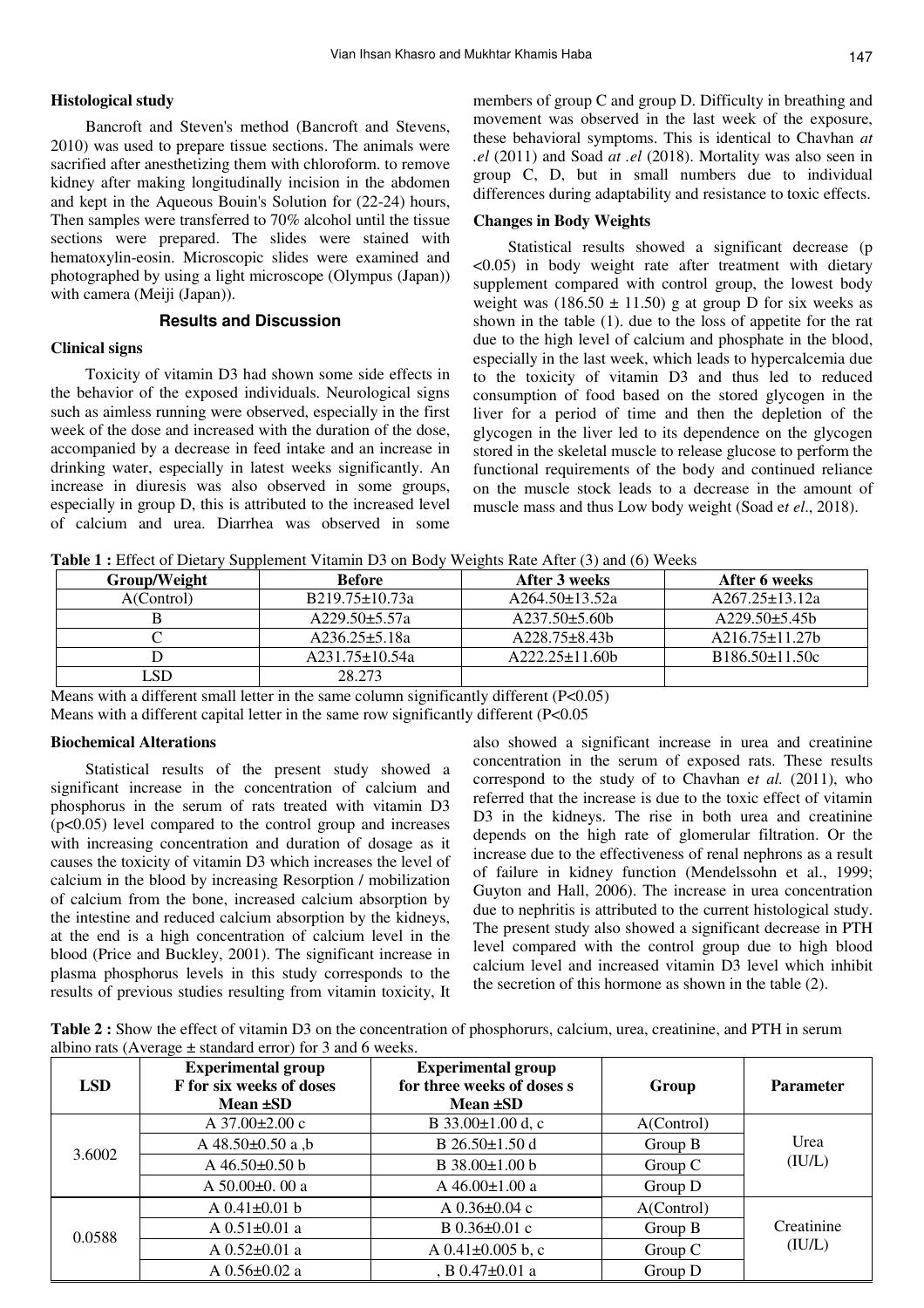## **Histological study**

Bancroft and Steven's method (Bancroft and Stevens, 2010) was used to prepare tissue sections. The animals were sacrified after anesthetizing them with chloroform. to remove kidney after making longitudinally incision in the abdomen and kept in the Aqueous Bouin's Solution for (22-24) hours, Then samples were transferred to 70% alcohol until the tissue sections were prepared. The slides were stained with hematoxylin-eosin. Microscopic slides were examined and photographed by using a light microscope (Olympus (Japan)) with camera (Meiji (Japan)).

#### **Results and Discussion**

### **Clinical signs**

Toxicity of vitamin D3 had shown some side effects in the behavior of the exposed individuals. Neurological signs such as aimless running were observed, especially in the first week of the dose and increased with the duration of the dose, accompanied by a decrease in feed intake and an increase in drinking water, especially in latest weeks significantly. An increase in diuresis was also observed in some groups, especially in group D, this is attributed to the increased level of calcium and urea. Diarrhea was observed in some members of group C and group D. Difficulty in breathing and movement was observed in the last week of the exposure, these behavioral symptoms. This is identical to Chavhan *at .el* (2011) and Soad *at .el* (2018). Mortality was also seen in group C, D, but in small numbers due to individual differences during adaptability and resistance to toxic effects.

### **Changes in Body Weights**

Statistical results showed a significant decrease (p  $\leq 0.05$ ) in body weight rate after treatment with dietary supplement compared with control group, the lowest body weight was  $(186.50 \pm 11.50)$  g at group D for six weeks as shown in the table (1). due to the loss of appetite for the rat due to the high level of calcium and phosphate in the blood, especially in the last week, which leads to hypercalcemia due to the toxicity of vitamin D3 and thus led to reduced consumption of food based on the stored glycogen in the liver for a period of time and then the depletion of the glycogen in the liver led to its dependence on the glycogen stored in the skeletal muscle to release glucose to perform the functional requirements of the body and continued reliance on the muscle stock leads to a decrease in the amount of muscle mass and thus Low body weight (Soad e*t el*., 2018).

**Table 1 :** Effect of Dietary Supplement Vitamin D3 on Body Weights Rate After (3) and (6) Weeks

| .            |                      |                     |                      |
|--------------|----------------------|---------------------|----------------------|
| Group/Weight | <b>Before</b>        | After 3 weeks       | After 6 weeks        |
| A(Control)   | B219.75±10.73a       | $A264.50\pm13.52a$  | $A267.25 \pm 13.12a$ |
|              | $A229.50 \pm 5.57a$  | $A237.50\pm5.60b$   | $A229.50\pm5.45h$    |
|              | $A236.25 \pm 5.18a$  | $A228.75 \pm 8.43b$ | $A216.75 \pm 11.27$  |
|              | $A231.75 \pm 10.54a$ | $A222.25 \pm 11.60$ | $B186.50 \pm 11.50c$ |
| SD           | 28.273               |                     |                      |

Means with a different small letter in the same column significantly different (P<0.05) Means with a different capital letter in the same row significantly different (P<0.05

#### **Biochemical Alterations**

Statistical results of the present study showed a significant increase in the concentration of calcium and phosphorus in the serum of rats treated with vitamin D3  $(p<0.05)$  level compared to the control group and increases with increasing concentration and duration of dosage as it causes the toxicity of vitamin D3 which increases the level of calcium in the blood by increasing Resorption / mobilization of calcium from the bone, increased calcium absorption by the intestine and reduced calcium absorption by the kidneys, at the end is a high concentration of calcium level in the blood (Price and Buckley, 2001). The significant increase in plasma phosphorus levels in this study corresponds to the results of previous studies resulting from vitamin toxicity, It

also showed a significant increase in urea and creatinine concentration in the serum of exposed rats. These results correspond to the study of to Chavhan e*t al.* (2011), who referred that the increase is due to the toxic effect of vitamin D3 in the kidneys. The rise in both urea and creatinine depends on the high rate of glomerular filtration. Or the increase due to the effectiveness of renal nephrons as a result of failure in kidney function (Mendelssohn et al., 1999; Guyton and Hall, 2006). The increase in urea concentration due to nephritis is attributed to the current histological study. The present study also showed a significant decrease in PTH level compared with the control group due to high blood calcium level and increased vitamin D3 level which inhibit the secretion of this hormone as shown in the table (2).

**Table 2 :** Show the effect of vitamin D3 on the concentration of phosphorurs, calcium, urea, creatinine, and PTH in serum albino rats (Average  $\pm$  standard error) for 3 and 6 weeks.

| <b>LSD</b> | <b>Experimental group</b><br>F for six weeks of doses<br>Mean $\pm SD$ | <b>Experimental group</b><br>for three weeks of doses s<br>Mean ±SD | Group      | <b>Parameter</b> |  |
|------------|------------------------------------------------------------------------|---------------------------------------------------------------------|------------|------------------|--|
|            | A $37.00 \pm 2.00$ c                                                   | B $33.00 \pm 1.00$ d, c                                             | A(Control) | Urea             |  |
| 3.6002     | A $48.50 \pm 0.50$ a,b                                                 | B $26.50 \pm 1.50$ d                                                | Group B    |                  |  |
|            | A $46.50\pm0.50$ b                                                     | B 38.00±1.00 b                                                      | Group C    | (IU/L)           |  |
|            | A $50.00 \pm 0.00$ a                                                   | A 46.00±1.00 a                                                      | Group D    |                  |  |
|            | A $0.41 \pm 0.01$ b                                                    | A $0.36 \pm 0.04$ c                                                 | A(Control) |                  |  |
| 0.0588     | A $0.51 \pm 0.01$ a                                                    | B $0.36 \pm 0.01$ c                                                 | Group B    | Creatinine       |  |
|            | A $0.52 \pm 0.01$ a                                                    | A $0.41 \pm 0.005$ b, c                                             | Group $C$  | (IU/L)           |  |
|            | A $0.56 \pm 0.02$ a                                                    | , B $0.47 \pm 0.01$ a                                               | Group D    |                  |  |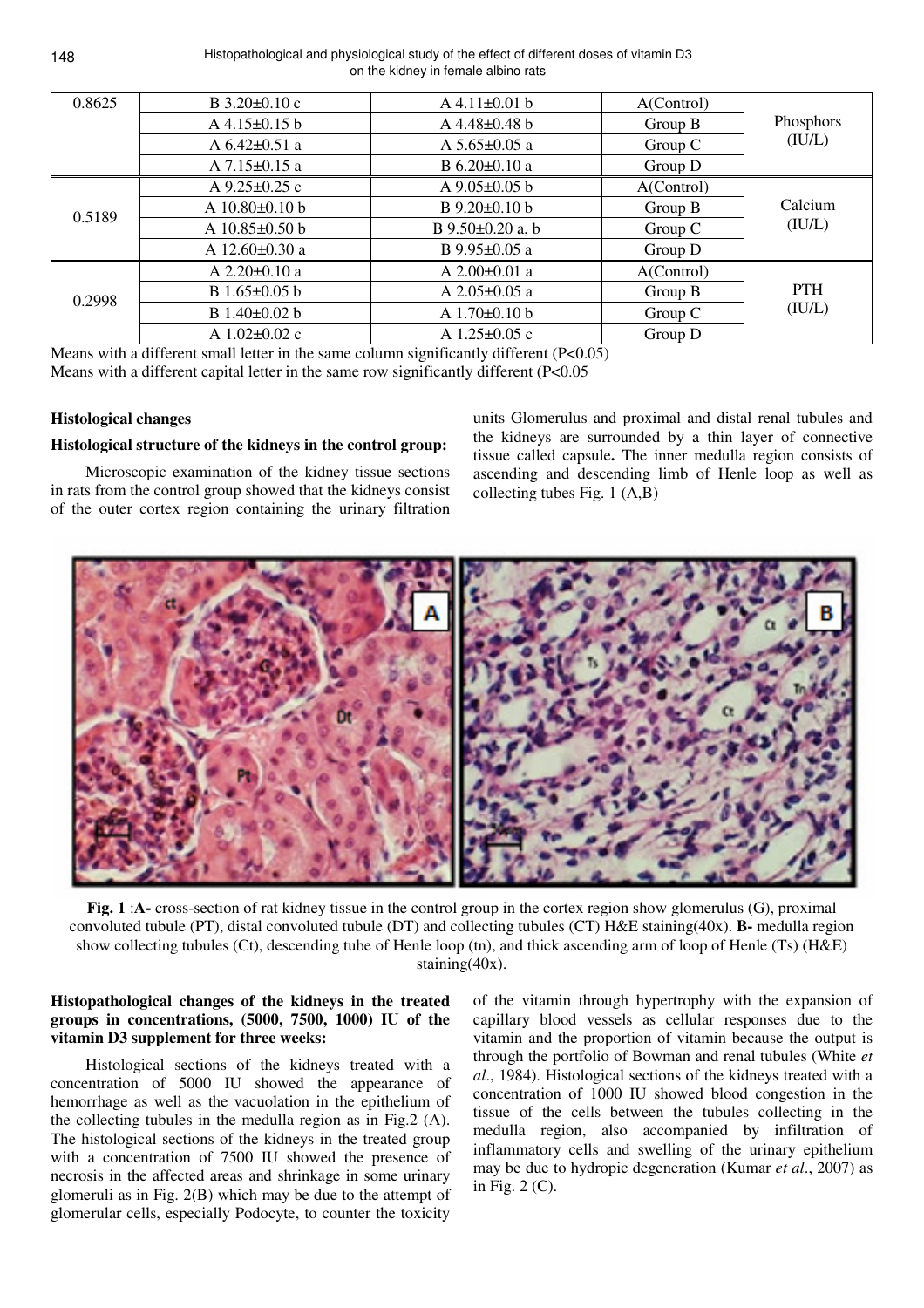Histopathological and physiological study of the effect of different doses of vitamin D3 on the kidney in female albino rats

| 0.8625 | $B$ 3.20 $\pm$ 0.10 c                 | $A$ 4.11 $\pm$ 0.01 b        | A(Control) |                      |  |
|--------|---------------------------------------|------------------------------|------------|----------------------|--|
|        | $A$ 4.15 $\pm$ 0.15 b                 | $A\,4.48\pm0.48$ b           | Group B    | Phosphors            |  |
|        | A $6.42 \pm 0.51$ a                   | A $5.65 \pm 0.05$ a          | Group C    | (IU/L)               |  |
|        | $A$ 7.15 $\pm$ 0.15 a                 | B $6.20 \pm 0.10$ a          | Group D    |                      |  |
|        | A $9.25 \pm 0.25$ c                   | A $9.05 \pm 0.05$ b          | A(Control) |                      |  |
| 0.5189 | A $10.80 \pm 0.10$ b                  | B 9.20±0.10 b                | Group B    | Calcium              |  |
|        | A $10.85 \pm 0.50$ b                  | B 9.50±0.20 a, b             | Group C    | (IU/L)               |  |
|        | A 12.60±0.30 a                        | B 9.95±0.05 a                | Group D    |                      |  |
|        | A $2.20 \pm 0.10$ a                   | A $2.00\pm0.01$ a            | A(Control) |                      |  |
| 0.2998 | B 1.65±0.05 b                         | A $2.05 \pm 0.05$ a          | Group $B$  | <b>PTH</b><br>(IU/L) |  |
|        | B 1.40±0.02 b                         | A $1.70 \pm 0.10$ b          | Group C    |                      |  |
|        | A $1.02 \pm 0.02$ c<br>$\overline{a}$ | A $1.25 \pm 0.05$ c<br>$  -$ | Group D    |                      |  |

Means with a different small letter in the same column significantly different (P<0.05) Means with a different capital letter in the same row significantly different (P<0.05)

#### **Histological changes**

#### **Histological structure of the kidneys in the control group**:

Microscopic examination of the kidney tissue sections in rats from the control group showed that the kidneys consist of the outer cortex region containing the urinary filtration units Glomerulus and proximal and distal renal tubules and the kidneys are surrounded by a thin layer of connective tissue called capsule. The inner medulla region consists of ascending and descending limb of Henle loop as well as collecting tubes Fig. 1 (A,B)



**Fig. 1** :**A-** cross-section of rat kidney tissue in the control group in the cortex region show glomerulus (G), proximal convoluted tubule (PT), distal convoluted tubule (DT) and collecting tubules (CT) H&E staining(40x). **B-** medulla region show collecting tubules (Ct), descending tube of Henle loop (tn), and thick ascending arm of loop of Henle (Ts) (H&E) staining(40x).

### **Histopathological changes of the kidneys in the treated groups in concentrations, (5000, 7500, 1000) IU of the vitamin D3 supplement for three weeks**:

Histological sections of the kidneys treated with a concentration of 5000 IU showed the appearance of hemorrhage as well as the vacuolation in the epithelium of the collecting tubules in the medulla region as in Fig.2 (A). The histological sections of the kidneys in the treated group with a concentration of 7500 IU showed the presence of necrosis in the affected areas and shrinkage in some urinary glomeruli as in Fig. 2(B) which may be due to the attempt of glomerular cells, especially Podocyte, to counter the toxicity

of the vitamin through hypertrophy with the expansion of capillary blood vessels as cellular responses due to the vitamin and the proportion of vitamin because the output is through the portfolio of Bowman and renal tubules (White *et al*., 1984). Histological sections of the kidneys treated with a concentration of 1000 IU showed blood congestion in the tissue of the cells between the tubules collecting in the medulla region, also accompanied by infiltration of inflammatory cells and swelling of the urinary epithelium may be due to hydropic degeneration (Kumar *et al*., 2007) as in Fig. 2 (C).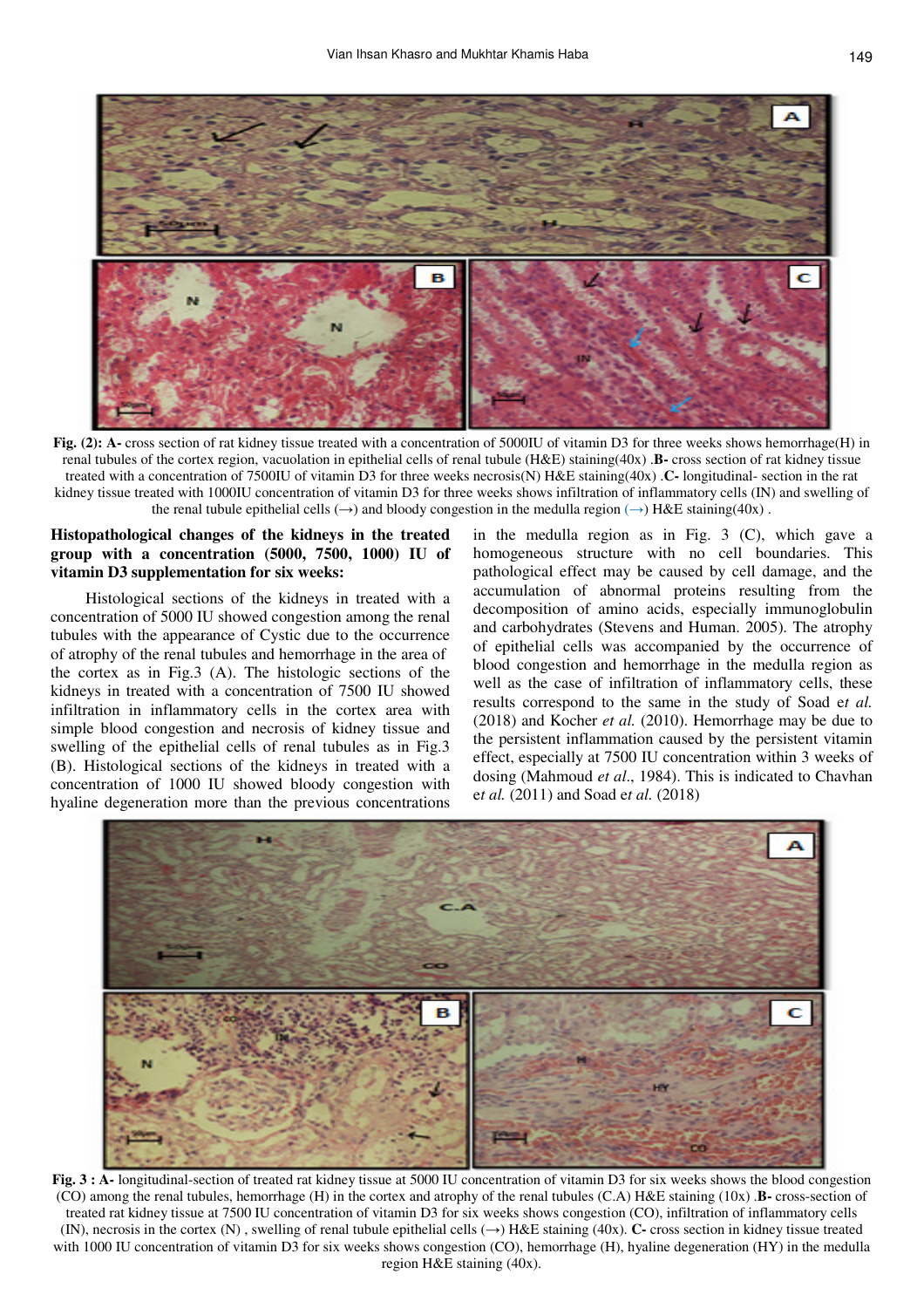

**Fig. (2): A-** cross section of rat kidney tissue treated with a concentration of 5000IU of vitamin D3 for three weeks shows hemorrhage(H) in renal tubules of the cortex region, vacuolation in epithelial cells of renal tubule (H&E) staining(40x) .**B-** cross section of rat kidney tissue treated with a concentration of 7500IU of vitamin D3 for three weeks necrosis(N) H&E staining(40x) .**C-** longitudinal- section in the rat kidney tissue treated with 1000IU concentration of vitamin D3 for three weeks shows infiltration of inflammatory cells (IN) and swelling of the renal tubule epithelial cells  $(\rightarrow)$  and bloody congestion in the medulla region  $(\rightarrow)$  H&E staining(40x).

## **Histopathological changes of the kidneys in the treated group with a concentration (5000, 7500, 1000) IU of vitamin D3 supplementation for six weeks**:

Histological sections of the kidneys in treated with a concentration of 5000 IU showed congestion among the renal tubules with the appearance of Cystic due to the occurrence of atrophy of the renal tubules and hemorrhage in the area of the cortex as in Fig.3 (A). The histologic sections of the kidneys in treated with a concentration of 7500 IU showed infiltration in inflammatory cells in the cortex area with simple blood congestion and necrosis of kidney tissue and swelling of the epithelial cells of renal tubules as in Fig.3 (B). Histological sections of the kidneys in treated with a concentration of 1000 IU showed bloody congestion with hyaline degeneration more than the previous concentrations

in the medulla region as in Fig. 3 (C), which gave a homogeneous structure with no cell boundaries. This pathological effect may be caused by cell damage, and the accumulation of abnormal proteins resulting from the decomposition of amino acids, especially immunoglobulin and carbohydrates (Stevens and Human. 2005). The atrophy of epithelial cells was accompanied by the occurrence of blood congestion and hemorrhage in the medulla region as well as the case of infiltration of inflammatory cells, these results correspond to the same in the study of Soad e*t al.* (2018) and Kocher *et al.* (2010). Hemorrhage may be due to the persistent inflammation caused by the persistent vitamin effect, especially at 7500 IU concentration within 3 weeks of dosing (Mahmoud *et al*., 1984). This is indicated to Chavhan e*t al.* (2011) and Soad e*t al.* (2018)



**Fig. 3 : A-** longitudinal-section of treated rat kidney tissue at 5000 IU concentration of vitamin D3 for six weeks shows the blood congestion (CO) among the renal tubules, hemorrhage (H) in the cortex and atrophy of the renal tubules (C.A) H&E staining (10x) .**B-** cross-section of treated rat kidney tissue at 7500 IU concentration of vitamin D3 for six weeks shows congestion (CO), infiltration of inflammatory cells (IN), necrosis in the cortex (N), swelling of renal tubule epithelial cells  $(\rightarrow)$  H&E staining (40x). **C**- cross section in kidney tissue treated with 1000 IU concentration of vitamin D3 for six weeks shows congestion (CO), hemorrhage (H), hyaline degeneration (HY) in the medulla region H&E staining (40x).